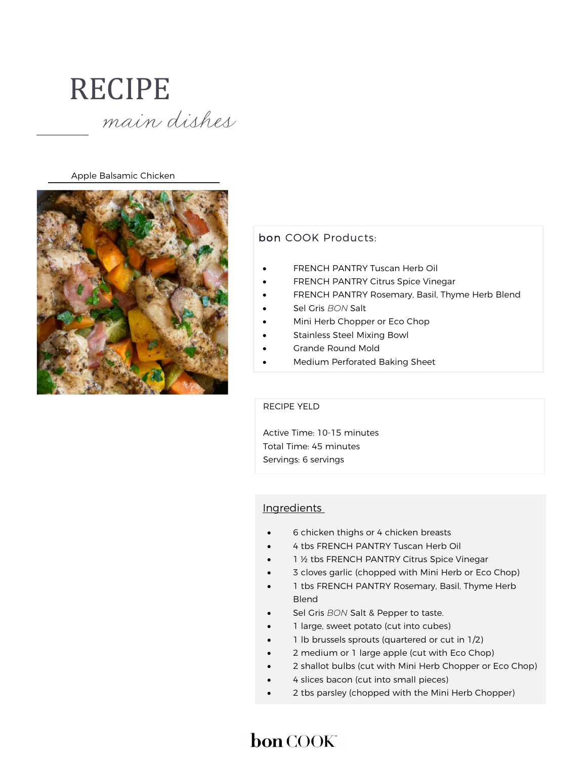

Apple Balsamic Chicken



### bon COOK Products:

- FRENCH PANTRY Tuscan Herb Oil
- FRENCH PANTRY Citrus Spice Vinegar
- FRENCH PANTRY Rosemary, Basil, Thyme Herb Blend
- Sel Gris BON Salt
- Mini Herb Chopper or Eco Chop
- Stainless Steel Mixing Bowl
- Grande Round Mold
- Medium Perforated Baking Sheet

#### RECIPE YELD

 Active Time: 10-15 minutes Total Time: 45 minutes Servings: 6 servings

#### Ingredients

- 6 chicken thighs or 4 chicken breasts
- 4 tbs FRENCH PANTRY Tuscan Herb Oil
- 1 ½ tbs FRENCH PANTRY Citrus Spice Vinegar
- 3 cloves garlic (chopped with Mini Herb or Eco Chop)
- 1 tbs FRENCH PANTRY Rosemary, Basil, Thyme Herb Blend
- Sel Gris BON Salt & Pepper to taste.
- 1 large, sweet potato (cut into cubes)
- 1 lb brussels sprouts (quartered or cut in 1/2)
- 2 medium or 1 large apple (cut with Eco Chop)
- 2 shallot bulbs (cut with Mini Herb Chopper or Eco Chop)
- 4 slices bacon (cut into small pieces)
- 2 tbs parsley (chopped with the Mini Herb Chopper)

# bon COOK